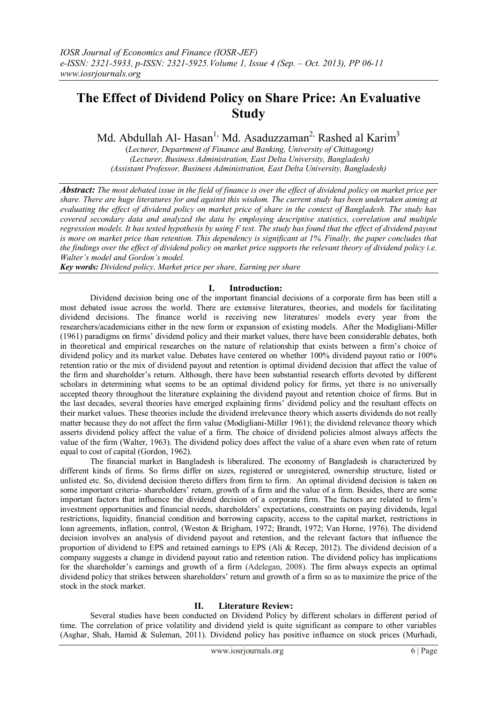# **The Effect of Dividend Policy on Share Price: An Evaluative Study**

Md. Abdullah Al- Hasan<sup>1,</sup> Md. Asaduzzaman<sup>2,</sup> Rashed al Karim<sup>3</sup>

(*Lecturer, Department of Finance and Banking, University of Chittagong) (Lecturer, Business Administration, East Delta University, Bangladesh) (Assistant Professor, Business Administration, East Delta University, Bangladesh)*

*Abstract: The most debated issue in the field of finance is over the effect of dividend policy on market price per share. There are huge literatures for and against this wisdom. The current study has been undertaken aiming at evaluating the effect of dividend policy on market price of share in the context of Bangladesh. The study has covered secondary data and analyzed the data by employing descriptive statistics, correlation and multiple regression models. It has tested hypothesis by using F test. The study has found that the effect of dividend payout is more on market price than retention. This dependency is significant at 1%. Finally, the paper concludes that the findings over the effect of dividend policy on market price supports the relevant theory of dividend policy i.e. Walter's model and Gordon's model.* 

*Key words: Dividend policy, Market price per share, Earning per share*

# **I. Introduction:**

Dividend decision being one of the important financial decisions of a corporate firm has been still a most debated issue across the world. There are extensive literatures, theories, and models for facilitating dividend decisions. The finance world is receiving new literatures/ models every year from the researchers/academicians either in the new form or expansion of existing models. After the Modigliani-Miller (1961) paradigms on firms' dividend policy and their market values, there have been considerable debates, both in theoretical and empirical researches on the nature of relationship that exists between a firm's choice of dividend policy and its market value. Debates have centered on whether 100% dividend payout ratio or 100% retention ratio or the mix of dividend payout and retention is optimal dividend decision that affect the value of the firm and shareholder's return. Although, there have been substantial research efforts devoted by different scholars in determining what seems to be an optimal dividend policy for firms, yet there is no universally accepted theory throughout the literature explaining the dividend payout and retention choice of firms. But in the last decades, several theories have emerged explaining firms' dividend policy and the resultant effects on their market values. These theories include the dividend irrelevance theory which asserts dividends do not really matter because they do not affect the firm value (Modigliani-Miller 1961); the dividend relevance theory which asserts dividend policy affect the value of a firm. The choice of dividend policies almost always affects the value of the firm (Walter, 1963). The dividend policy does affect the value of a share even when rate of return equal to cost of capital (Gordon, 1962).

The financial market in Bangladesh is liberalized. The economy of Bangladesh is characterized by different kinds of firms. So firms differ on sizes, registered or unregistered, ownership structure, listed or unlisted etc. So, dividend decision thereto differs from firm to firm. An optimal dividend decision is taken on some important criteria- shareholders' return, growth of a firm and the value of a firm. Besides, there are some important factors that influence the dividend decision of a corporate firm. The factors are related to firm's investment opportunities and financial needs, shareholders' expectations, constraints on paying dividends, legal restrictions, liquidity, financial condition and borrowing capacity, access to the capital market, restrictions in loan agreements, inflation, control, (Weston & Brigham, 1972; Brandt, 1972; Van Horne, 1976). The dividend decision involves an analysis of dividend payout and retention, and the relevant factors that influence the proportion of dividend to EPS and retained earnings to EPS (Ali & Recep, 2012). The dividend decision of a company suggests a change in dividend payout ratio and retention ration. The dividend policy has implications for the shareholder's earnings and growth of a firm (Adelegan, 2008). The firm always expects an optimal dividend policy that strikes between shareholders' return and growth of a firm so as to maximize the price of the stock in the stock market.

## **II. Literature Review:**

Several studies have been conducted on Dividend Policy by different scholars in different period of time. The correlation of price volatility and dividend yield is quite significant as compare to other variables (Asghar, Shah, Hamid & Suleman, 2011). Dividend policy has positive influence on stock prices (Murhadi,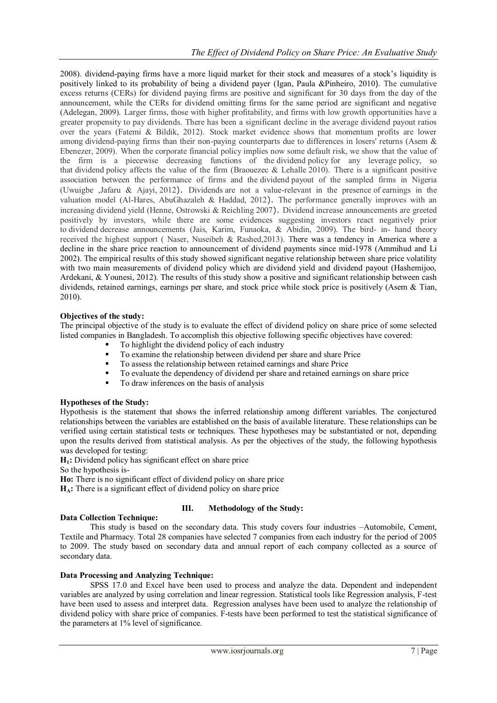2008). dividend-paying firms have a more liquid market for their stock and measures of a stock's liquidity is positively linked to its probability of being a dividend payer (Igan, Paula &Pinheiro, 2010). The cumulative excess returns (CERs) for dividend paying firms are positive and significant for 30 days from the day of the announcement, while the CERs for dividend omitting firms for the same period are significant and negative (Adelegan, 2009). Larger firms, those with higher profitability, and firms with low growth opportunities have a greater propensity to pay dividends. There has been a significant decline in the average dividend payout ratios over the years (Fatemi & Bildik, 2012). Stock market evidence shows that momentum profits are lower among dividend-paying firms than their non-paying counterparts due to differences in losers' returns (Asem & Ebenezer, 2009). When the corporate financial policy implies now some default risk, we show that the value of the firm is a piecewise decreasing functions of the dividend policy for any leverage policy, so that dividend policy affects the value of the firm (Braouezec & Lehalle 2010). There is a significant positive association between the performance of firms and the dividend payout of the sampled firms in Nigeria (Uwuigbe ,Jafaru & Ajayi, 2012). Dividends are not a value-relevant in the presence of earnings in the valuation model (Al-Hares, AbuGhazaleh & Haddad, 2012). The performance generally improves with an increasing dividend yield (Henne, Ostrowski & Reichling 2007). Dividend increase announcements are greeted positively by investors, while there are some evidences suggesting investors react negatively prior to dividend decrease announcements (Jais, Karim, Funaoka, & Abidin, 2009). The bird- in- hand theory received the highest support ( Naser, Nuseibeh & Rashed,2013). There was a tendency in America where a decline in the share price reaction to announcement of dividend payments since mid-1978 (Ammihud and Li 2002). The empirical results of this study showed significant negative relationship between share price volatility with two main measurements of dividend policy which are dividend yield and dividend payout (Hashemijoo, Ardekani, & Younesi, 2012). The results of this study show a positive and significant relationship between cash dividends, retained earnings, earnings per share, and stock price while stock price is positively (Asem & Tian, 2010).

## **Objectives of the study:**

The principal objective of the study is to evaluate the effect of dividend policy on share price of some selected listed companies in Bangladesh. To accomplish this objective following specific objectives have covered:

- To highlight the dividend policy of each industry
- To examine the relationship between dividend per share and share Price
- To assess the relationship between retained earnings and share Price
- To evaluate the dependency of dividend per share and retained earnings on share price
- To draw inferences on the basis of analysis

## **Hypotheses of the Study:**

Hypothesis is the statement that shows the inferred relationship among different variables. The conjectured relationships between the variables are established on the basis of available literature. These relationships can be verified using certain statistical tests or techniques. These hypotheses may be substantiated or not, depending upon the results derived from statistical analysis. As per the objectives of the study, the following hypothesis was developed for testing:

**H1:** Dividend policy has significant effect on share price

So the hypothesis is-

**Data Collection Technique:**

- **Ho:** There is no significant effect of dividend policy on share price
- **HA:** There is a significant effect of dividend policy on share price

## **III. Methodology of the Study:**

This study is based on the secondary data. This study covers four industries –Automobile, Cement, Textile and Pharmacy. Total 28 companies have selected 7 companies from each industry for the period of 2005 to 2009. The study based on secondary data and annual report of each company collected as a source of secondary data.

## **Data Processing and Analyzing Technique:**

SPSS 17.0 and Excel have been used to process and analyze the data. Dependent and independent variables are analyzed by using correlation and linear regression. Statistical tools like Regression analysis, F-test have been used to assess and interpret data. Regression analyses have been used to analyze the relationship of dividend policy with share price of companies. F-tests have been performed to test the statistical significance of the parameters at 1% level of significance.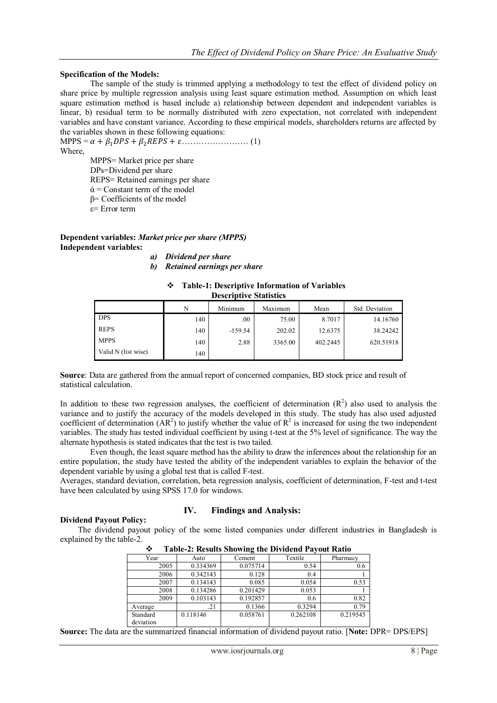#### **Specification of the Models:**

The sample of the study is trimmed applying a methodology to test the effect of dividend policy on share price by multiple regression analysis using least square estimation method. Assumption on which least square estimation method is based include a) relationship between dependent and independent variables is linear, b) residual term to be normally distributed with zero expectation, not correlated with independent variables and have constant variance. According to these empirical models, shareholders returns are affected by the variables shown in these following equations:

MPPS = + 1 + 2 + …………………… (1) Where, MPPS= Market price per share DPs=Dividend per share

REPS= Retained earnings per share

 $\dot{\alpha}$  = Constant term of the model

β= Coefficients of the model

ε= Error term

**Dependent variables:** *Market price per share (MPPS)* **Independent variables:**

*a) Dividend per share*

*b) Retained earnings per share*

|                               | <b>Table-1: Descriptive Information of Variables</b> |  |  |  |  |  |  |  |
|-------------------------------|------------------------------------------------------|--|--|--|--|--|--|--|
| <b>Descriptive Statistics</b> |                                                      |  |  |  |  |  |  |  |
|                               |                                                      |  |  |  |  |  |  |  |

|                     | N   | Minimum   | Maximum | Mean     | Std. Deviation |
|---------------------|-----|-----------|---------|----------|----------------|
| <b>DPS</b>          | 140 | .00       | 75.00   | 8.7017   | 14.16760       |
| <b>REPS</b>         | 140 | $-159.54$ | 202.02  | 12.6375  | 38.24242       |
| <b>MPPS</b>         | 140 | 2.88      | 3365.00 | 402.2445 | 620.51918      |
| Valid N (list wise) | 140 |           |         |          |                |

**Source**: Data are gathered from the annual report of concerned companies, BD stock price and result of statistical calculation.

In addition to these two regression analyses, the coefficient of determination  $(R^2)$  also used to analysis the variance and to justify the accuracy of the models developed in this study. The study has also used adjusted coefficient of determination ( $AR^2$ ) to justify whether the value of  $R^2$  is increased for using the two independent variables. The study has tested individual coefficient by using t-test at the 5% level of significance. The way the alternate hypothesis is stated indicates that the test is two tailed.

Even though, the least square method has the ability to draw the inferences about the relationship for an entire population, the study have tested the ability of the independent variables to explain the behavior of the dependent variable by using a global test that is called F-test.

Averages, standard deviation, correlation, beta regression analysis, coefficient of determination, F-test and t-test have been calculated by using SPSS 17.0 for windows.

#### **Dividend Payout Policy:**

## **IV. Findings and Analysis:**

The dividend payout policy of the some listed companies under different industries in Bangladesh is explained by the table-2.

| $\ldots$  |          |          |          |          |  |  |  |
|-----------|----------|----------|----------|----------|--|--|--|
| Year      | Auto     | Cement   | Textile  | Pharmacy |  |  |  |
| 2005      | 0.334369 | 0.075714 | 0.54     | 0.6      |  |  |  |
| 2006      | 0.342143 | 0.128    | 0.4      |          |  |  |  |
| 2007      | 0.134143 | 0.085    | 0.054    | 0.53     |  |  |  |
| 2008      | 0.134286 | 0.201429 | 0.053    |          |  |  |  |
| 2009      | 0.103143 | 0.192857 | 0.6      | 0.82     |  |  |  |
| Average   | .21      | 0.1366   | 0.3294   | 0.79     |  |  |  |
| Standard  | 0.118146 | 0.058761 | 0.262108 | 0.219545 |  |  |  |
| deviation |          |          |          |          |  |  |  |

**Table-2: Results Showing the Dividend Payout Ratio**

**Source:** The data are the summarized financial information of dividend payout ratio. [**Note:** DPR= DPS/EPS]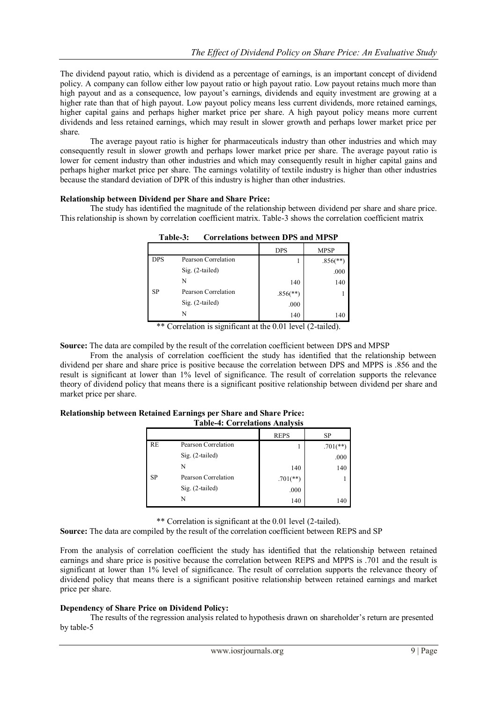The dividend payout ratio, which is dividend as a percentage of earnings, is an important concept of dividend policy. A company can follow either low payout ratio or high payout ratio. Low payout retains much more than high payout and as a consequence, low payout's earnings, dividends and equity investment are growing at a higher rate than that of high payout. Low payout policy means less current dividends, more retained earnings, higher capital gains and perhaps higher market price per share. A high payout policy means more current dividends and less retained earnings, which may result in slower growth and perhaps lower market price per share.

The average payout ratio is higher for pharmaceuticals industry than other industries and which may consequently result in slower growth and perhaps lower market price per share. The average payout ratio is lower for cement industry than other industries and which may consequently result in higher capital gains and perhaps higher market price per share. The earnings volatility of textile industry is higher than other industries because the standard deviation of DPR of this industry is higher than other industries.

## **Relationship between Dividend per Share and Share Price:**

The study has identified the magnitude of the relationship between dividend per share and share price. This relationship is shown by correlation coefficient matrix. Table-3 shows the correlation coefficient matrix

|            |                     | <b>DPS</b>               | <b>MPSP</b>              |
|------------|---------------------|--------------------------|--------------------------|
| <b>DPS</b> | Pearson Correlation |                          | $.856$ <sup>(**)</sup> ) |
|            | $Sig. (2-tailed)$   |                          | .000                     |
|            | N                   | 140                      | 140                      |
| SP         | Pearson Correlation | $.856$ <sup>(**)</sup> ) |                          |
|            | $Sig. (2-tailed)$   | .000                     |                          |
|            | N                   | 140                      | 140                      |

**Table-3: Correlations between DPS and MPSP**

\*\* Correlation is significant at the 0.01 level (2-tailed).

**Source:** The data are compiled by the result of the correlation coefficient between DPS and MPSP

From the analysis of correlation coefficient the study has identified that the relationship between dividend per share and share price is positive because the correlation between DPS and MPPS is .856 and the result is significant at lower than 1% level of significance. The result of correlation supports the relevance theory of dividend policy that means there is a significant positive relationship between dividend per share and market price per share.

#### **Relationship between Retained Earnings per Share and Share Price: Table-4: Correlations Analysis**

|           |                     | <b>REPS</b> | SP         |
|-----------|---------------------|-------------|------------|
| RE        | Pearson Correlation |             | $.701$ (** |
|           | $Sig. (2-tailed)$   |             | .000       |
|           | N                   | 140         | 140        |
| <b>SP</b> | Pearson Correlation | $.701$ (**) |            |
|           | $Sig. (2-tailed)$   | .000        |            |
|           | N                   | 140         | 140        |

\*\* Correlation is significant at the 0.01 level (2-tailed).

**Source:** The data are compiled by the result of the correlation coefficient between REPS and SP

From the analysis of correlation coefficient the study has identified that the relationship between retained earnings and share price is positive because the correlation between REPS and MPPS is .701 and the result is significant at lower than 1% level of significance. The result of correlation supports the relevance theory of dividend policy that means there is a significant positive relationship between retained earnings and market price per share.

## **Dependency of Share Price on Dividend Policy:**

The results of the regression analysis related to hypothesis drawn on shareholder's return are presented by table-5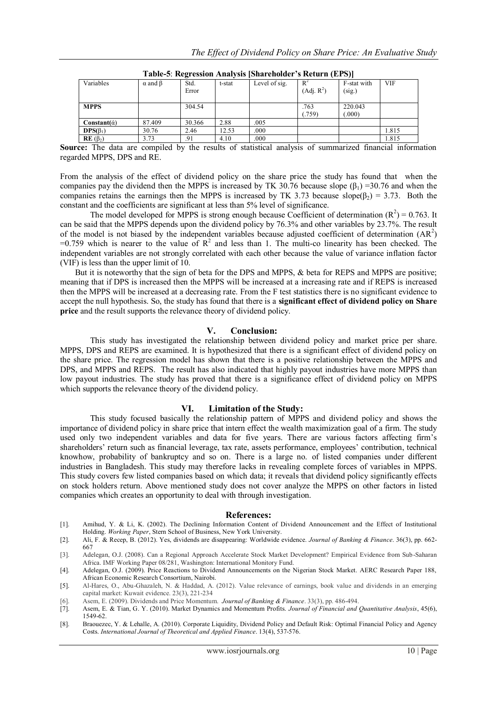| $-1$                  |                      |               |        |               |                                 |                       |            |
|-----------------------|----------------------|---------------|--------|---------------|---------------------------------|-----------------------|------------|
| Variables             | $\alpha$ and $\beta$ | Std.<br>Error | t-stat | Level of sig. | $R^2$<br>(Adj. R <sup>2</sup> ) | F-stat with<br>(sig.) | <b>VIF</b> |
|                       |                      |               |        |               |                                 |                       |            |
| <b>MPPS</b>           |                      | 304.54        |        |               | .763<br>(.759)                  | 220.043<br>(.000)     |            |
| $Constant(\alpha)$    | 87.409               | 30.366        | 2.88   | .005          |                                 |                       |            |
| $\text{DPS}(\beta_1)$ | 30.76                | 2.46          | 12.53  | .000          |                                 |                       | 1.815      |
| $RE(\beta_2)$         | 3.73                 | .91           | 4.10   | .000          |                                 |                       | 1.815      |

| Table-5: Regression Analysis [Shareholder's Return (EPS)] |  |  |
|-----------------------------------------------------------|--|--|
|                                                           |  |  |

**Source:** The data are compiled by the results of statistical analysis of summarized financial information regarded MPPS, DPS and RE.

From the analysis of the effect of dividend policy on the share price the study has found that when the companies pay the dividend then the MPPS is increased by TK 30.76 because slope  $(\beta_1)$  =30.76 and when the companies retains the earnings then the MPPS is increased by TK 3.73 because slope( $\beta_2$ ) = 3.73. Both the constant and the coefficients are significant at less than 5% level of significance.

The model developed for MPPS is strong enough because Coefficient of determination  $(R^2) = 0.763$ . It can be said that the MPPS depends upon the dividend policy by 76.3% and other variables by 23.7%. The result of the model is not biased by the independent variables because adjusted coefficient of determination  $(AR^2)$  $=0.759$  which is nearer to the value of  $R^2$  and less than 1. The multi-co linearity has been checked. The independent variables are not strongly correlated with each other because the value of variance inflation factor (VIF) is less than the upper limit of 10.

But it is noteworthy that the sign of beta for the DPS and MPPS, & beta for REPS and MPPS are positive; meaning that if DPS is increased then the MPPS will be increased at a increasing rate and if REPS is increased then the MPPS will be increased at a decreasing rate. From the F test statistics there is no significant evidence to accept the null hypothesis. So, the study has found that there is a **significant effect of dividend policy on Share price** and the result supports the relevance theory of dividend policy.

## **V. Conclusion:**

This study has investigated the relationship between dividend policy and market price per share. MPPS, DPS and REPS are examined. It is hypothesized that there is a significant effect of dividend policy on the share price. The regression model has shown that there is a positive relationship between the MPPS and DPS, and MPPS and REPS. The result has also indicated that highly payout industries have more MPPS than low payout industries. The study has proved that there is a significance effect of dividend policy on MPPS which supports the relevance theory of the dividend policy.

#### **VI. Limitation of the Study:**

This study focused basically the relationship pattern of MPPS and dividend policy and shows the importance of dividend policy in share price that intern effect the wealth maximization goal of a firm. The study used only two independent variables and data for five years. There are various factors affecting firm's shareholders' return such as financial leverage, tax rate, assets performance, employees' contribution, technical knowhow, probability of bankruptcy and so on. There is a large no. of listed companies under different industries in Bangladesh. This study may therefore lacks in revealing complete forces of variables in MPPS. This study covers few listed companies based on which data; it reveals that dividend policy significantly effects on stock holders return. Above mentioned study does not cover analyze the MPPS on other factors in listed companies which creates an opportunity to deal with through investigation.

#### **References:**

- [1]. Amihud, Y. & Li, K. (2002). The Declining Information Content of Dividend Announcement and the Effect of Institutional Holding. *Working Paper*, Stern School of Business, New York University.
- [2]. Ali, F. & Recep, B. (2012). Yes, dividends are disappearing: Worldwide evidence. *Journal of Banking & Finance*. 36(3), pp. 662- 667
- [3]. Adelegan, O.J. (2008). Can a Regional Approach Accelerate Stock Market Development? Empirical Evidence from Sub-Saharan Africa. IMF Working Paper 08/281, Washington: International Monitory Fund.
- [4]. Adelegan, O.J. (2009). Price Reactions to Dividend Announcements on the Nigerian Stock Market. AERC Research Paper 188, African Economic Research Consortium, Nairobi.
- [5]. Al-Hares, O., Abu-Ghazaleh, N. & Haddad, A. (2012). Value relevance of earnings, book value and dividends in an emerging capital market: Kuwait evidence. 23(3), 221-234
- [6]. Asem, E. (2009). Dividends and Price Momentum. *Journal of Banking & Finance*. 33(3), pp. 486-494.
- [7]. Asem, E. & Tian, G. Y. (2010). Market Dynamics and Momentum Profits. *Journal of Financial and Quantitative Analysis*, 45(6), 1549-62.
- [8]. Braouezec, Y. & Lehalle, A. (2010). Corporate Liquidity, Dividend Policy and Default Risk: Optimal Financial Policy and Agency Costs. *International Journal of Theoretical and Applied Finance*. 13(4), 537-576.